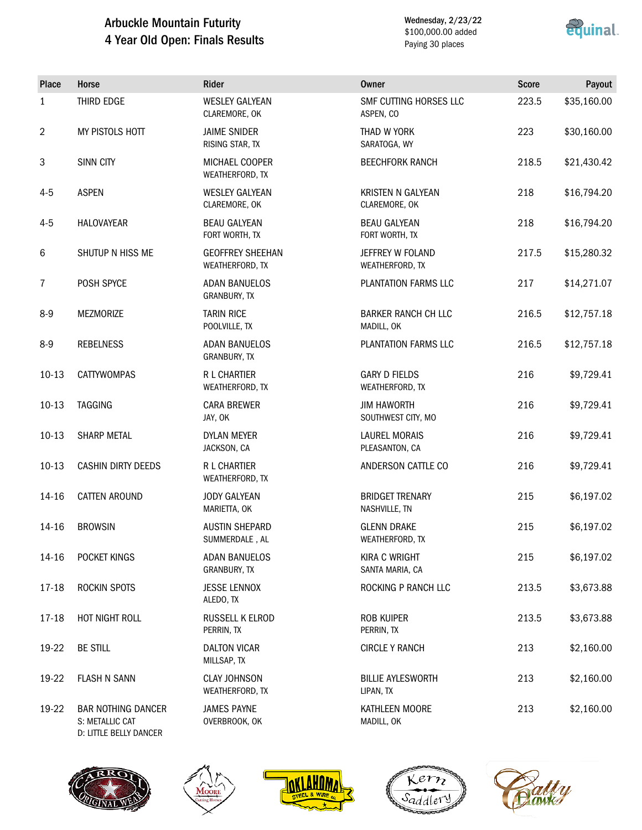# Arbuckle Mountain Futurity 4 Year Old Open: Finals Results

Wednesday, 2/23/22 \$100,000.00 added Paying 30 places



| <b>Place</b>   | Horse                                        | Rider                                      | <b>Owner</b>                             | <b>Score</b> | Payout      |
|----------------|----------------------------------------------|--------------------------------------------|------------------------------------------|--------------|-------------|
| $\mathbf{1}$   | THIRD EDGE                                   | <b>WESLEY GALYEAN</b><br>CLAREMORE, OK     | SMF CUTTING HORSES LLC<br>ASPEN, CO      | 223.5        | \$35,160.00 |
| $\overline{2}$ | MY PISTOLS HOTT                              | <b>JAIME SNIDER</b><br>RISING STAR, TX     | THAD W YORK<br>SARATOGA, WY              | 223          | \$30,160.00 |
| 3              | SINN CITY                                    | MICHAEL COOPER<br>WEATHERFORD, TX          | <b>BEECHFORK RANCH</b>                   | 218.5        | \$21,430.42 |
| $4 - 5$        | <b>ASPEN</b>                                 | <b>WESLEY GALYEAN</b><br>CLAREMORE, OK     | KRISTEN N GALYEAN<br>CLAREMORE, OK       | 218          | \$16,794.20 |
| $4 - 5$        | HALOVAYEAR                                   | <b>BEAU GALYEAN</b><br>FORT WORTH, TX      | <b>BEAU GALYEAN</b><br>FORT WORTH, TX    | 218          | \$16,794.20 |
| 6              | SHUTUP N HISS ME                             | <b>GEOFFREY SHEEHAN</b><br>WEATHERFORD, TX | JEFFREY W FOLAND<br>WEATHERFORD, TX      | 217.5        | \$15,280.32 |
| $\overline{7}$ | POSH SPYCE                                   | <b>ADAN BANUELOS</b><br>GRANBURY, TX       | PLANTATION FARMS LLC                     | 217          | \$14,271.07 |
| $8-9$          | <b>MEZMORIZE</b>                             | <b>TARIN RICE</b><br>POOLVILLE, TX         | <b>BARKER RANCH CH LLC</b><br>MADILL, OK | 216.5        | \$12,757.18 |
| $8-9$          | <b>REBELNESS</b>                             | <b>ADAN BANUELOS</b><br>GRANBURY, TX       | PLANTATION FARMS LLC                     | 216.5        | \$12,757.18 |
| $10-13$        | CATTYWOMPAS                                  | <b>R L CHARTIER</b><br>WEATHERFORD, TX     | <b>GARY D FIELDS</b><br>WEATHERFORD, TX  | 216          | \$9,729.41  |
| $10-13$        | <b>TAGGING</b>                               | <b>CARA BREWER</b><br>JAY, OK              | <b>JIM HAWORTH</b><br>SOUTHWEST CITY, MO | 216          | \$9,729.41  |
| $10-13$        | <b>SHARP METAL</b>                           | DYLAN MEYER<br>JACKSON, CA                 | <b>LAUREL MORAIS</b><br>PLEASANTON, CA   | 216          | \$9,729.41  |
| $10-13$        | <b>CASHIN DIRTY DEEDS</b>                    | R L CHARTIER<br>WEATHERFORD, TX            | ANDERSON CATTLE CO                       | 216          | \$9,729.41  |
| 14-16          | CATTEN AROUND                                | <b>JODY GALYEAN</b><br>MARIETTA, OK        | <b>BRIDGET TRENARY</b><br>NASHVILLE, TN  | 215          | \$6,197.02  |
| 14-16          | <b>BROWSIN</b>                               | <b>AUSTIN SHEPARD</b><br>SUMMERDALE, AL    | <b>GLENN DRAKE</b><br>WEATHERFORD, TX    | 215          | \$6,197.02  |
| 14-16          | POCKET KINGS                                 | <b>ADAN BANUELOS</b><br>GRANBURY, TX       | <b>KIRA C WRIGHT</b><br>SANTA MARIA, CA  | 215          | \$6,197.02  |
| 17-18          | ROCKIN SPOTS                                 | <b>JESSE LENNOX</b><br>ALEDO, TX           | ROCKING P RANCH LLC                      | 213.5        | \$3,673.88  |
| 17-18          | HOT NIGHT ROLL                               | RUSSELL K ELROD<br>PERRIN, TX              | <b>ROB KUIPER</b><br>PERRIN, TX          | 213.5        | \$3,673.88  |
| 19-22          | <b>BE STILL</b>                              | <b>DALTON VICAR</b><br>MILLSAP, TX         | <b>CIRCLE Y RANCH</b>                    | 213          | \$2,160.00  |
| 19-22          | <b>FLASH N SANN</b>                          | <b>CLAY JOHNSON</b><br>WEATHERFORD, TX     | <b>BILLIE AYLESWORTH</b><br>LIPAN, TX    | 213          | \$2,160.00  |
| 19-22          | <b>BAR NOTHING DANCER</b><br>S: METALLIC CAT | <b>JAMES PAYNE</b><br>OVERBROOK, OK        | KATHLEEN MOORE<br>MADILL, OK             | 213          | \$2,160.00  |

S: METALLIC CAT D: LITTLE BELLY DANCER

**NA** 







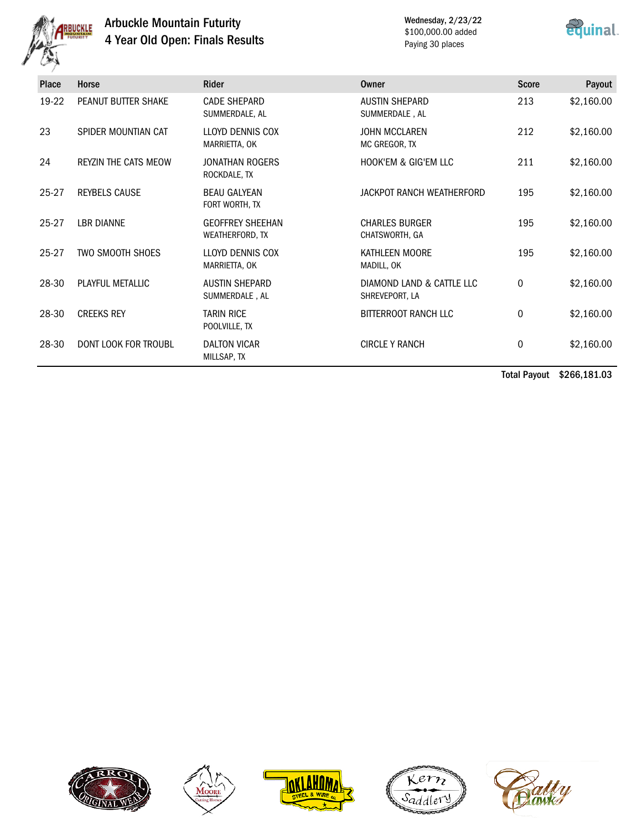

# Arbuckle Mountain Futurity 4 Year Old Open: Finals Results

Wednesday, 2/23/22 \$100,000.00 added Paying 30 places



| <b>Place</b> | Horse                       | Rider                                      | <b>Owner</b>                                | <b>Score</b> | Payout     |
|--------------|-----------------------------|--------------------------------------------|---------------------------------------------|--------------|------------|
| 19-22        | PEANUT BUTTER SHAKE         | <b>CADE SHEPARD</b><br>SUMMERDALE, AL      | <b>AUSTIN SHEPARD</b><br>SUMMERDALE, AL     | 213          | \$2,160.00 |
| 23           | SPIDER MOUNTIAN CAT         | LLOYD DENNIS COX<br>MARRIETTA, OK          | <b>JOHN MCCLAREN</b><br>MC GREGOR, TX       | 212          | \$2,160.00 |
| 24           | <b>REYZIN THE CATS MEOW</b> | <b>JONATHAN ROGERS</b><br>ROCKDALE, TX     | <b>HOOK'EM &amp; GIG'EM LLC</b>             | 211          | \$2,160.00 |
| 25-27        | <b>REYBELS CAUSE</b>        | <b>BEAU GALYEAN</b><br>FORT WORTH, TX      | JACKPOT RANCH WEATHERFORD                   | 195          | \$2,160.00 |
| 25-27        | <b>LBR DIANNE</b>           | <b>GEOFFREY SHEEHAN</b><br>WEATHERFORD, TX | <b>CHARLES BURGER</b><br>CHATSWORTH, GA     | 195          | \$2,160.00 |
| $25 - 27$    | <b>TWO SMOOTH SHOES</b>     | LLOYD DENNIS COX<br>MARRIETTA, OK          | KATHLEEN MOORE<br>MADILL, OK                | 195          | \$2,160.00 |
| 28-30        | PLAYFUL METALLIC            | <b>AUSTIN SHEPARD</b><br>SUMMERDALE, AL    | DIAMOND LAND & CATTLE LLC<br>SHREVEPORT, LA | 0            | \$2,160.00 |
| 28-30        | <b>CREEKS REY</b>           | <b>TARIN RICE</b><br>POOLVILLE, TX         | BITTERROOT RANCH LLC                        | 0            | \$2,160.00 |
| 28-30        | DONT LOOK FOR TROUBL        | <b>DALTON VICAR</b><br>MILLSAP, TX         | <b>CIRCLE Y RANCH</b>                       | 0            | \$2,160.00 |

Total Payout \$266,181.03









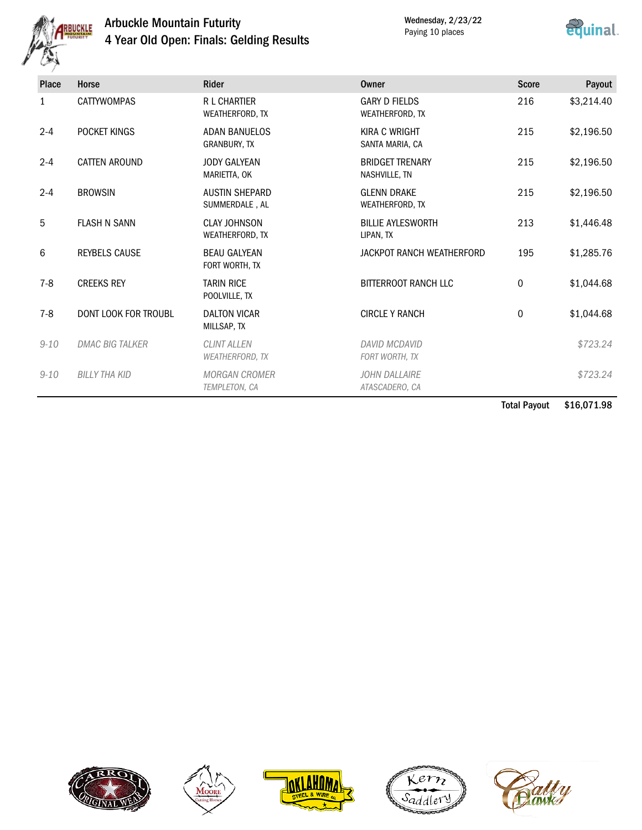

# Arbuckle Mountain Futurity 4 Year Old Open: Finals: Gelding Results

Wednesday, 2/23/22 Paying 10 places



| Place        | Horse                  | <b>Rider</b>                                 | <b>Owner</b>                            | <b>Score</b> | Payout     |
|--------------|------------------------|----------------------------------------------|-----------------------------------------|--------------|------------|
| $\mathbf{1}$ | <b>CATTYWOMPAS</b>     | <b>R L CHARTIER</b><br>WEATHERFORD, TX       | <b>GARY D FIELDS</b><br>WEATHERFORD, TX | 216          | \$3,214.40 |
| $2 - 4$      | POCKET KINGS           | <b>ADAN BANUELOS</b><br><b>GRANBURY, TX</b>  | <b>KIRA C WRIGHT</b><br>SANTA MARIA, CA | 215          | \$2,196.50 |
| $2 - 4$      | CATTEN AROUND          | <b>JODY GALYEAN</b><br>MARIETTA, OK          | <b>BRIDGET TRENARY</b><br>NASHVILLE, TN | 215          | \$2,196.50 |
| $2 - 4$      | <b>BROWSIN</b>         | <b>AUSTIN SHEPARD</b><br>SUMMERDALE, AL      | <b>GLENN DRAKE</b><br>WEATHERFORD, TX   | 215          | \$2,196.50 |
| 5            | <b>FLASH N SANN</b>    | <b>CLAY JOHNSON</b><br>WEATHERFORD, TX       | <b>BILLIE AYLESWORTH</b><br>LIPAN, TX   | 213          | \$1,446.48 |
| 6            | <b>REYBELS CAUSE</b>   | <b>BEAU GALYEAN</b><br>FORT WORTH, TX        | JACKPOT RANCH WEATHERFORD               | 195          | \$1,285.76 |
| $7 - 8$      | <b>CREEKS REY</b>      | <b>TARIN RICE</b><br>POOLVILLE, TX           | <b>BITTERROOT RANCH LLC</b>             | 0            | \$1,044.68 |
| $7-8$        | DONT LOOK FOR TROUBL   | <b>DALTON VICAR</b><br>MILLSAP, TX           | <b>CIRCLE Y RANCH</b>                   | $\mathbf 0$  | \$1,044.68 |
| $9 - 10$     | <b>DMAC BIG TALKER</b> | <b>CLINT ALLEN</b><br><b>WEATHERFORD, TX</b> | DAVID MCDAVID<br>FORT WORTH, TX         |              | \$723.24   |
| $9 - 10$     | <b>BILLY THA KID</b>   | <b>MORGAN CROMER</b><br>TEMPLETON, CA        | JOHN DALLAIRE<br>ATASCADERO, CA         |              | \$723.24   |

Total Payout \$16,071.98









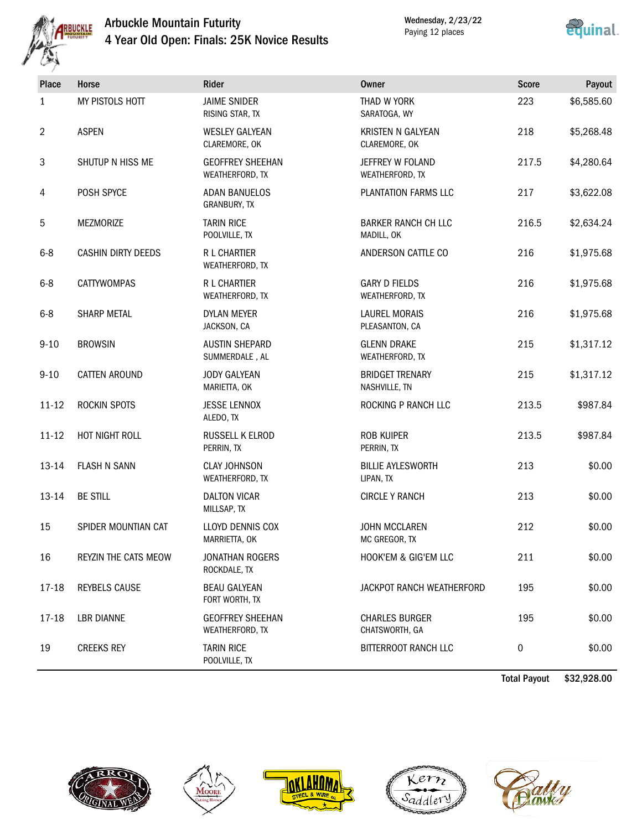

# Arbuckle Mountain Futurity 4 Year Old Open: Finals: 25K Novice Results

Wednesday, 2/23/22 Paying 12 places



| Place          | Horse                     | Rider                                      | <b>Owner</b>                              | <b>Score</b> | Payout     |
|----------------|---------------------------|--------------------------------------------|-------------------------------------------|--------------|------------|
| 1              | MY PISTOLS HOTT           | <b>JAIME SNIDER</b><br>RISING STAR, TX     | THAD W YORK<br>SARATOGA, WY               | 223          | \$6,585.60 |
| $\overline{2}$ | <b>ASPEN</b>              | <b>WESLEY GALYEAN</b><br>CLAREMORE, OK     | <b>KRISTEN N GALYEAN</b><br>CLAREMORE, OK | 218          | \$5,268.48 |
| $\sqrt{3}$     | SHUTUP N HISS ME          | <b>GEOFFREY SHEEHAN</b><br>WEATHERFORD, TX | JEFFREY W FOLAND<br>WEATHERFORD, TX       | 217.5        | \$4,280.64 |
| $\overline{4}$ | POSH SPYCE                | <b>ADAN BANUELOS</b><br>GRANBURY, TX       | PLANTATION FARMS LLC                      | 217          | \$3,622.08 |
| 5              | MEZMORIZE                 | <b>TARIN RICE</b><br>POOLVILLE, TX         | <b>BARKER RANCH CH LLC</b><br>MADILL, OK  | 216.5        | \$2,634.24 |
| $6 - 8$        | <b>CASHIN DIRTY DEEDS</b> | R L CHARTIER<br>WEATHERFORD, TX            | ANDERSON CATTLE CO                        | 216          | \$1,975.68 |
| $6 - 8$        | <b>CATTYWOMPAS</b>        | <b>R L CHARTIER</b><br>WEATHERFORD, TX     | <b>GARY D FIELDS</b><br>WEATHERFORD, TX   | 216          | \$1,975.68 |
| $6 - 8$        | SHARP METAL               | <b>DYLAN MEYER</b><br>JACKSON, CA          | <b>LAUREL MORAIS</b><br>PLEASANTON, CA    | 216          | \$1,975.68 |
| $9 - 10$       | <b>BROWSIN</b>            | <b>AUSTIN SHEPARD</b><br>SUMMERDALE, AL    | <b>GLENN DRAKE</b><br>WEATHERFORD, TX     | 215          | \$1,317.12 |
| $9 - 10$       | <b>CATTEN AROUND</b>      | <b>JODY GALYEAN</b><br>MARIETTA, OK        | <b>BRIDGET TRENARY</b><br>NASHVILLE, TN   | 215          | \$1,317.12 |
| $11 - 12$      | <b>ROCKIN SPOTS</b>       | <b>JESSE LENNOX</b><br>ALEDO, TX           | ROCKING P RANCH LLC                       | 213.5        | \$987.84   |
| $11 - 12$      | HOT NIGHT ROLL            | RUSSELL K ELROD<br>PERRIN, TX              | <b>ROB KUIPER</b><br>PERRIN, TX           | 213.5        | \$987.84   |
| $13 - 14$      | <b>FLASH N SANN</b>       | <b>CLAY JOHNSON</b><br>WEATHERFORD, TX     | <b>BILLIE AYLESWORTH</b><br>LIPAN, TX     | 213          | \$0.00     |
| 13-14          | <b>BE STILL</b>           | <b>DALTON VICAR</b><br>MILLSAP, TX         | <b>CIRCLE Y RANCH</b>                     | 213          | \$0.00     |
| 15             | SPIDER MOUNTIAN CAT       | LLOYD DENNIS COX<br>MARRIETTA, OK          | <b>JOHN MCCLAREN</b><br>MC GREGOR, TX     | 212          | \$0.00     |
| 16             | REYZIN THE CATS MEOW      | <b>JONATHAN ROGERS</b><br>ROCKDALE, TX     | HOOK'EM & GIG'EM LLC                      | 211          | \$0.00     |
| 17-18          | REYBELS CAUSE             | <b>BEAU GALYEAN</b><br>FORT WORTH, TX      | JACKPOT RANCH WEATHERFORD                 | 195          | \$0.00     |
| 17-18          | <b>LBR DIANNE</b>         | <b>GEOFFREY SHEEHAN</b><br>WEATHERFORD, TX | <b>CHARLES BURGER</b><br>CHATSWORTH, GA   | 195          | \$0.00     |
| 19             | <b>CREEKS REY</b>         | <b>TARIN RICE</b><br>POOLVILLE, TX         | BITTERROOT RANCH LLC                      | 0            | \$0.00     |

Total Payout \$32,928.00